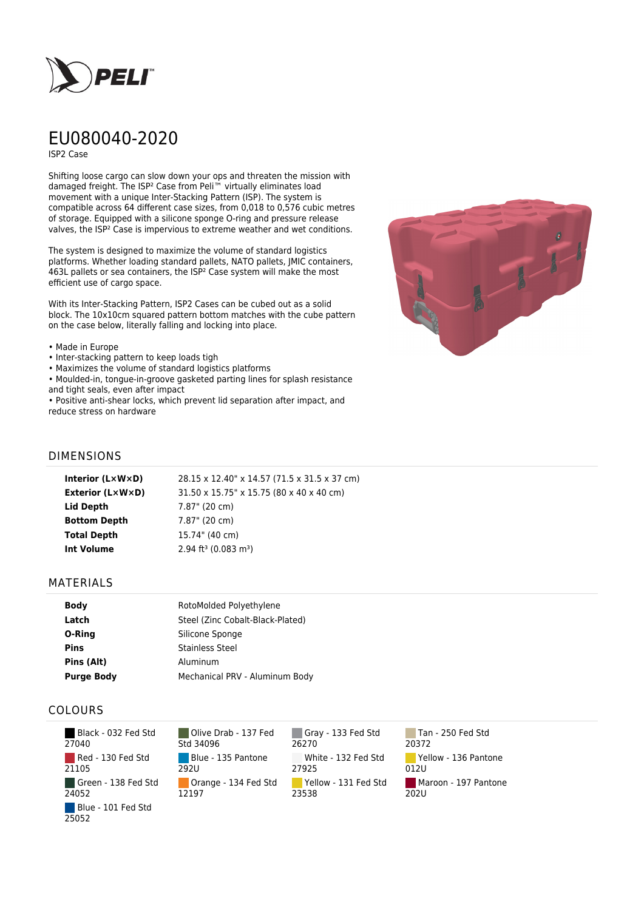

# EU080040-2020

ISP2 Case

Shifting loose cargo can slow down your ops and threaten the mission with damaged freight. The ISP² Case from Peli™ virtually eliminates load movement with a unique Inter-Stacking Pattern (ISP). The system is compatible across 64 different case sizes, from 0,018 to 0,576 cubic metres of storage. Equipped with a silicone sponge O-ring and pressure release valves, the ISP² Case is impervious to extreme weather and wet conditions.

The system is designed to maximize the volume of standard logistics platforms. Whether loading standard pallets, NATO pallets, JMIC containers, 463L pallets or sea containers, the ISP² Case system will make the most efficient use of cargo space.

With its Inter-Stacking Pattern, ISP2 Cases can be cubed out as a solid block. The 10x10cm squared pattern bottom matches with the cube pattern on the case below, literally falling and locking into place.

#### • Made in Europe

- Inter-stacking pattern to keep loads tigh
- Maximizes the volume of standard logistics platforms
- Moulded-in, tongue-in-groove gasketed parting lines for splash resistance and tight seals, even after impact

• Positive anti-shear locks, which prevent lid separation after impact, and reduce stress on hardware



## DIMENSIONS

| Interior (LxWxD)        | 28.15 x 12.40" x 14.57 (71.5 x 31.5 x 37 cm)   |
|-------------------------|------------------------------------------------|
| <b>Exterior (L×W×D)</b> | 31.50 x 15.75" x 15.75 (80 x 40 x 40 cm)       |
| Lid Depth               | 7.87" (20 cm)                                  |
| <b>Bottom Depth</b>     | 7.87" (20 cm)                                  |
| <b>Total Depth</b>      | 15.74" (40 cm)                                 |
| Int Volume              | $2.94$ ft <sup>3</sup> (0.083 m <sup>3</sup> ) |
|                         |                                                |

### MATERIALS

| <b>Body</b>       | RotoMolded Polyethylene          |
|-------------------|----------------------------------|
| Latch             | Steel (Zinc Cobalt-Black-Plated) |
| O-Ring            | Silicone Sponge                  |
| <b>Pins</b>       | <b>Stainless Steel</b>           |
| Pins (Alt)        | Aluminum                         |
| <b>Purge Body</b> | Mechanical PRV - Aluminum Body   |

## COLOURS

 Black - 032 Fed Std 27040 Red - 130 Fed Std 21105 Green - 138 Fed Std 24052 Blue - 101 Fed Std 25052

Olive Drab - 137 Fed Std 34096 Blue - 135 Pantone 292U Orange - 134 Fed Std 12197

Gray - 133 Fed Std 26270 White - 132 Fed Std 27925 Yellow - 131 Fed Std 23538

Tan - 250 Fed Std 20372 Yellow - 136 Pantone 012U Maroon - 197 Pantone  $202U$